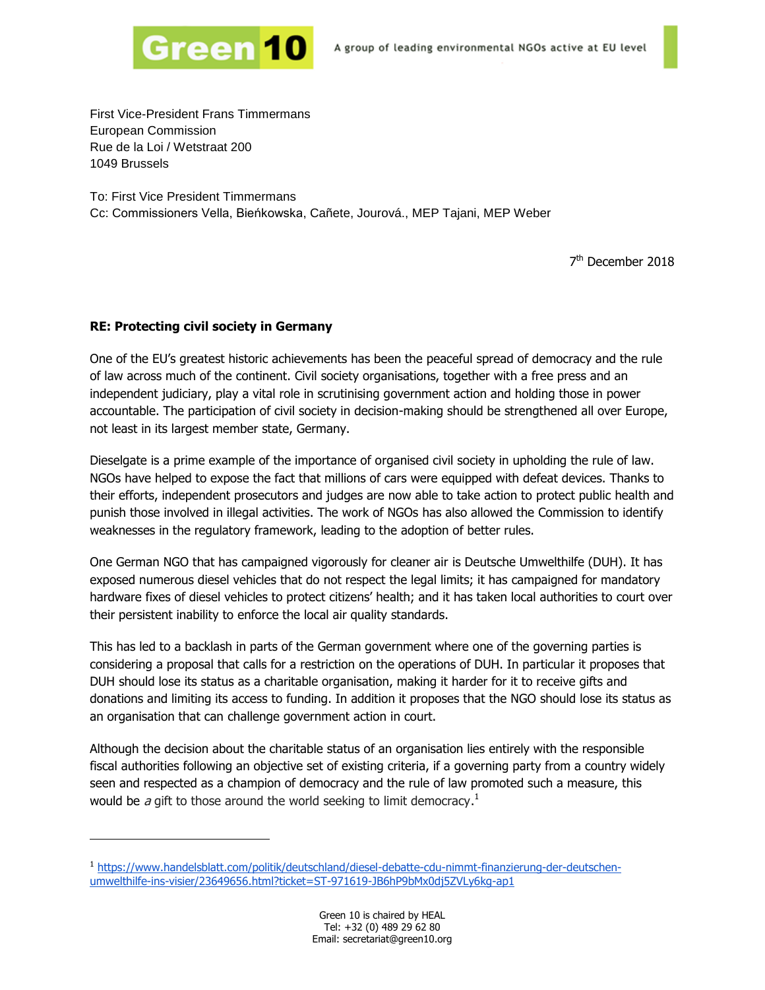

First Vice-President Frans Timmermans European Commission Rue de la Loi / Wetstraat 200 1049 Brussels

To: First Vice President Timmermans Cc: Commissioners Vella, Bieńkowska, Cañete, Jourová., MEP Tajani, MEP Weber

7<sup>th</sup> December 2018

## **RE: Protecting civil society in Germany**

1

One of the EU's greatest historic achievements has been the peaceful spread of democracy and the rule of law across much of the continent. Civil society organisations, together with a free press and an independent judiciary, play a vital role in scrutinising government action and holding those in power accountable. The participation of civil society in decision-making should be strengthened all over Europe, not least in its largest member state, Germany.

Dieselgate is a prime example of the importance of organised civil society in upholding the rule of law. NGOs have helped to expose the fact that millions of cars were equipped with defeat devices. Thanks to their efforts, independent prosecutors and judges are now able to take action to protect public health and punish those involved in illegal activities. The work of NGOs has also allowed the Commission to identify weaknesses in the regulatory framework, leading to the adoption of better rules.

One German NGO that has campaigned vigorously for cleaner air is Deutsche Umwelthilfe (DUH). It has exposed numerous diesel vehicles that do not respect the legal limits; it has campaigned for mandatory hardware fixes of diesel vehicles to protect citizens' health; and it has taken local authorities to court over their persistent inability to enforce the local air quality standards.

This has led to a backlash in parts of the German government where one of the governing parties is considering a proposal that calls for a restriction on the operations of DUH. In particular it proposes that DUH should lose its status as a charitable organisation, making it harder for it to receive gifts and donations and limiting its access to funding. In addition it proposes that the NGO should lose its status as an organisation that can challenge government action in court.

Although the decision about the charitable status of an organisation lies entirely with the responsible fiscal authorities following an objective set of existing criteria, if a governing party from a country widely seen and respected as a champion of democracy and the rule of law promoted such a measure, this would be a gift to those around the world seeking to limit democracy.<sup>1</sup>

<sup>1</sup> [https://www.handelsblatt.com/politik/deutschland/diesel-debatte-cdu-nimmt-finanzierung-der-deutschen](https://www.handelsblatt.com/politik/deutschland/diesel-debatte-cdu-nimmt-finanzierung-der-deutschen-umwelthilfe-ins-visier/23649656.html?ticket=ST-971619-JB6hP9bMx0dj5ZVLy6kg-ap1)[umwelthilfe-ins-visier/23649656.html?ticket=ST-971619-JB6hP9bMx0dj5ZVLy6kg-ap1](https://www.handelsblatt.com/politik/deutschland/diesel-debatte-cdu-nimmt-finanzierung-der-deutschen-umwelthilfe-ins-visier/23649656.html?ticket=ST-971619-JB6hP9bMx0dj5ZVLy6kg-ap1)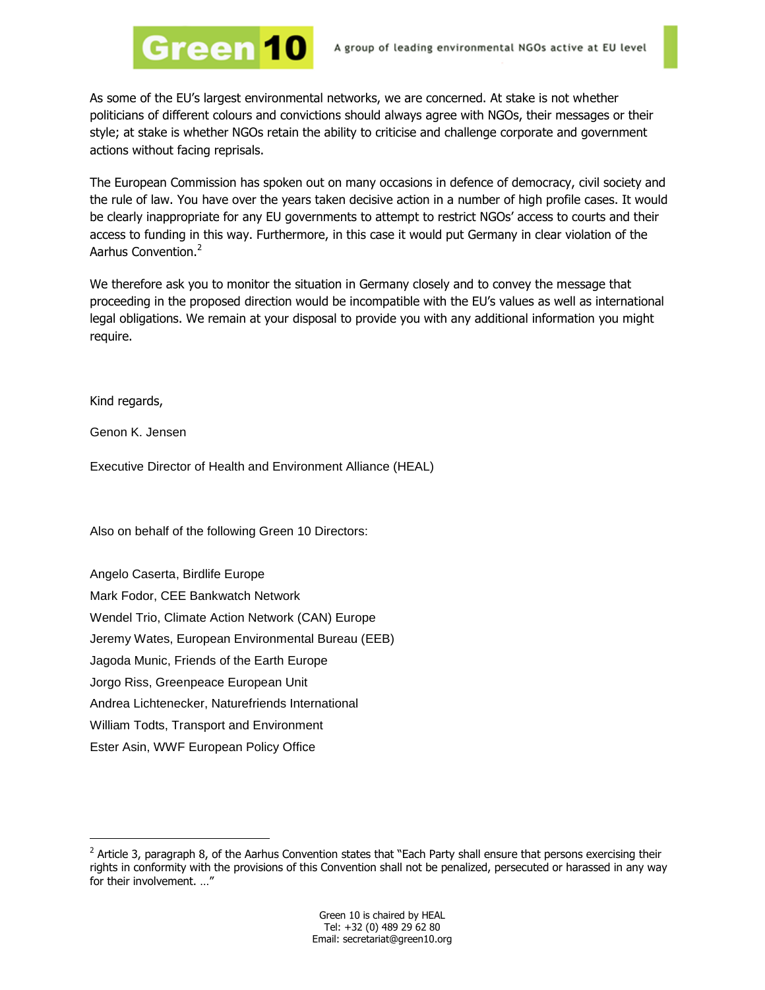

As some of the EU's largest environmental networks, we are concerned. At stake is not whether politicians of different colours and convictions should always agree with NGOs, their messages or their style; at stake is whether NGOs retain the ability to criticise and challenge corporate and government actions without facing reprisals.

The European Commission has spoken out on many occasions in defence of democracy, civil society and the rule of law. You have over the years taken decisive action in a number of high profile cases. It would be clearly inappropriate for any EU governments to attempt to restrict NGOs' access to courts and their access to funding in this way. Furthermore, in this case it would put Germany in clear violation of the Aarhus Convention.<sup>2</sup>

We therefore ask you to monitor the situation in Germany closely and to convey the message that proceeding in the proposed direction would be incompatible with the EU's values as well as international legal obligations. We remain at your disposal to provide you with any additional information you might require.

Kind regards,

-

Genon K. Jensen

Executive Director of Health and Environment Alliance (HEAL)

Also on behalf of the following Green 10 Directors:

Green <mark>10</mark>

Angelo Caserta, Birdlife Europe Mark Fodor, CEE Bankwatch Network Wendel Trio, Climate Action Network (CAN) Europe Jeremy Wates, European Environmental Bureau (EEB) Jagoda Munic, Friends of the Earth Europe Jorgo Riss, Greenpeace European Unit Andrea Lichtenecker, Naturefriends International William Todts, Transport and Environment Ester Asin, WWF European Policy Office

 $2$  Article 3, paragraph 8, of the Aarhus Convention states that "Each Party shall ensure that persons exercising their rights in conformity with the provisions of this Convention shall not be penalized, persecuted or harassed in any way for their involvement. …"